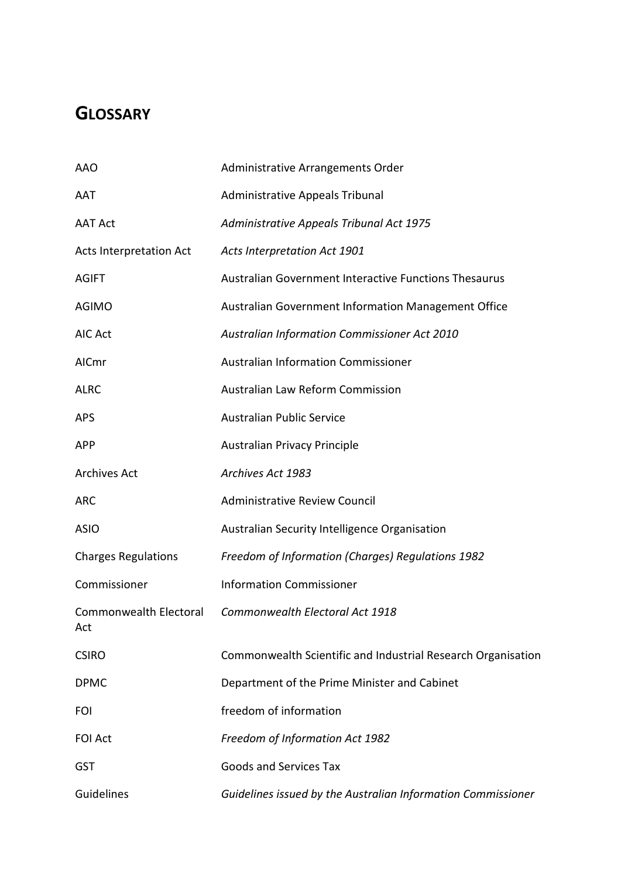## **GLOSSARY**

| <b>AAO</b>                     | Administrative Arrangements Order                            |
|--------------------------------|--------------------------------------------------------------|
| AAT                            | Administrative Appeals Tribunal                              |
| <b>AAT Act</b>                 | Administrative Appeals Tribunal Act 1975                     |
| <b>Acts Interpretation Act</b> | Acts Interpretation Act 1901                                 |
| <b>AGIFT</b>                   | Australian Government Interactive Functions Thesaurus        |
| <b>AGIMO</b>                   | Australian Government Information Management Office          |
| AIC Act                        | <b>Australian Information Commissioner Act 2010</b>          |
| AICmr                          | <b>Australian Information Commissioner</b>                   |
| <b>ALRC</b>                    | Australian Law Reform Commission                             |
| <b>APS</b>                     | <b>Australian Public Service</b>                             |
| <b>APP</b>                     | <b>Australian Privacy Principle</b>                          |
| <b>Archives Act</b>            | Archives Act 1983                                            |
| <b>ARC</b>                     | <b>Administrative Review Council</b>                         |
| <b>ASIO</b>                    | Australian Security Intelligence Organisation                |
| <b>Charges Regulations</b>     | Freedom of Information (Charges) Regulations 1982            |
| Commissioner                   | <b>Information Commissioner</b>                              |
| Commonwealth Electoral<br>Act  | Commonwealth Electoral Act 1918                              |
| <b>CSIRO</b>                   | Commonwealth Scientific and Industrial Research Organisation |
| <b>DPMC</b>                    | Department of the Prime Minister and Cabinet                 |
| <b>FOI</b>                     | freedom of information                                       |
| <b>FOI Act</b>                 | Freedom of Information Act 1982                              |
| <b>GST</b>                     | <b>Goods and Services Tax</b>                                |
| Guidelines                     | Guidelines issued by the Australian Information Commissioner |